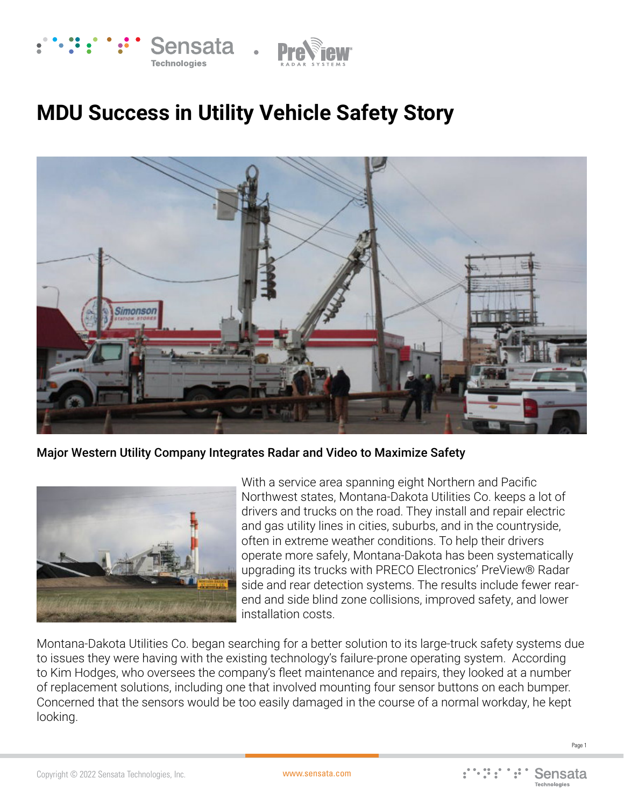

## **MDU Success in Utility Vehicle Safety Story**



Major Western Utility Company Integrates Radar and Video to Maximize Safety



With a service area spanning eight Northern and Pacific Northwest states, Montana-Dakota Utilities Co. keeps a lot of drivers and trucks on the road. They install and repair electric and gas utility lines in cities, suburbs, and in the countryside, often in extreme weather conditions. To help their drivers operate more safely, Montana-Dakota has been systematically upgrading its trucks with PRECO Electronics' PreView® Radar side and rear detection systems. The results include fewer rearend and side blind zone collisions, improved safety, and lower installation costs.

Montana-Dakota Utilities Co. began searching for a better solution to its large-truck safety systems due to issues they were having with the existing technology's failure-prone operating system. According to Kim Hodges, who oversees the company's fleet maintenance and repairs, they looked at a number of replacement solutions, including one that involved mounting four sensor buttons on each bumper. Concerned that the sensors would be too easily damaged in the course of a normal workday, he kept looking.